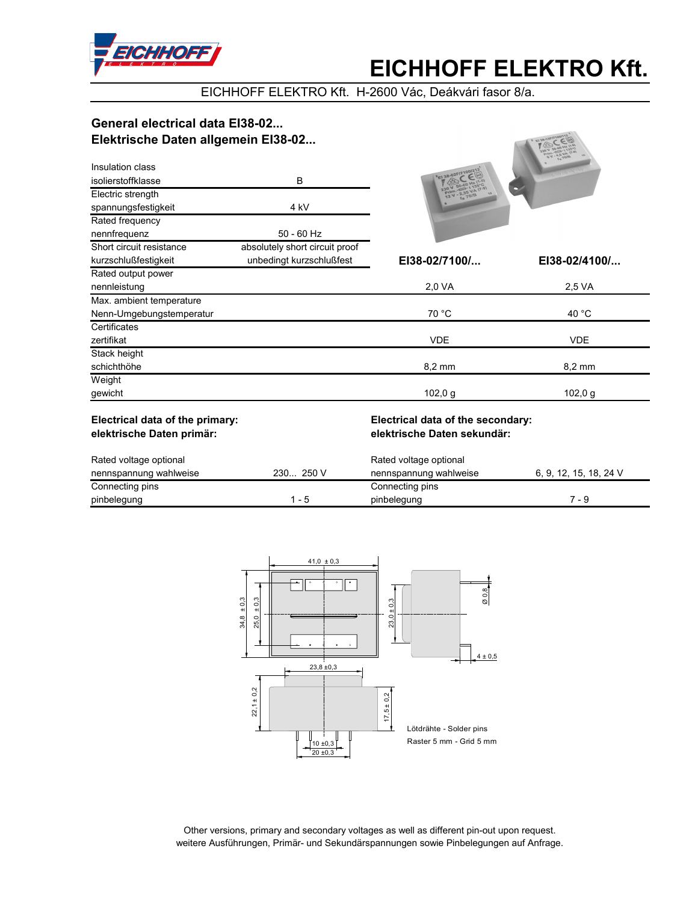

## **EICHHOFF ELEKTRO Kft.**

STATISOPHER & BL

EICHHOFF ELEKTRO Kft. H-2600 Vác, Deákvári fasor 8/a.

### General electrical data El38-02... Elektrische Daten allgemein El38-02...

| Insulation class                        |                                | <b>FEI 38-02FIT1001212</b> | IGD AVEA.        |
|-----------------------------------------|--------------------------------|----------------------------|------------------|
| isolierstoffklasse<br>Electric strength | B                              |                            |                  |
| spannungsfestigkeit                     | 4 kV                           |                            |                  |
| Rated frequency                         |                                |                            |                  |
| nennfrequenz                            | $50 - 60$ Hz                   |                            |                  |
| Short circuit resistance                | absolutely short circuit proof |                            |                  |
| kurzschlußfestigkeit                    | unbedingt kurzschlußfest       | EI38-02/7100/              | EI38-02/4100/    |
| Rated output power                      |                                |                            |                  |
| nennleistung                            |                                | 2,0 VA                     | 2.5 VA           |
| Max. ambient temperature                |                                |                            |                  |
| Nenn-Umgebungstemperatur                |                                | 70 °C                      | 40 $^{\circ}$ C  |
| Certificates                            |                                |                            |                  |
| zertifikat                              |                                | <b>VDE</b>                 | <b>VDE</b>       |
| Stack height                            |                                |                            |                  |
| schichthöhe                             |                                | 8,2 mm                     | $8.2 \text{ mm}$ |
| Weight                                  |                                |                            |                  |
| gewicht                                 |                                | 102,0 g                    | 102,0 g          |
|                                         |                                |                            |                  |

### Electrical data of the primary: elektrische Daten primär:

### Electrical data of the secondary: elektrische Daten sekundär:

| Rated voltage optional |           | Rated voltage optional |                        |  |
|------------------------|-----------|------------------------|------------------------|--|
| nennspannung wahlweise | 230 250 V | nennspannung wahlweise | 6, 9, 12, 15, 18, 24 V |  |
| Connecting pins        |           | Connecting pins        |                        |  |
| pinbelegung            | - 5       | pinbelegung            | 7 - 9                  |  |



Other versions, primary and secondary voltages as well as different pin-out upon request. weitere Ausführungen, Primär- und Sekundärspannungen sowie Pinbelegungen auf Anfrage.